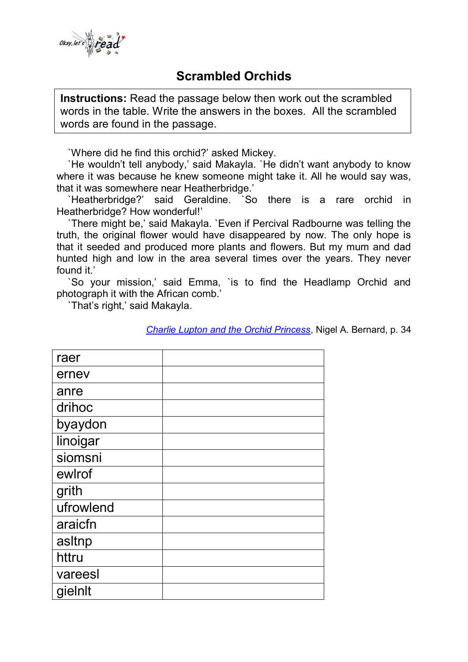

## **Scrambled Orchids**

**Instructions:** Read the passage below then work out the scrambled words in the table. Write the answers in the boxes. All the scrambled words are found in the passage.

`Where did he find this orchid?' asked Mickey.

 `He wouldn't tell anybody,' said Makayla. `He didn't want anybody to know where it was because he knew someone might take it. All he would say was, that it was somewhere near Heatherbridge.'

 `Heatherbridge?' said Geraldine. `So there is a rare orchid in Heatherbridge? How wonderful!'

 `There might be,' said Makayla. `Even if Percival Radbourne was telling the truth, the original flower would have disappeared by now. The only hope is that it seeded and produced more plants and flowers. But my mum and dad hunted high and low in the area several times over the years. They never found it.'

 `So your mission,' said Emma, `is to find the Headlamp Orchid and photograph it with the African comb.'

`That's right,' said Makayla.

*[Charlie Lupton and the Orchid Princess](http://nigelbernard.com/book/charlie-lupton-and-orchid-princess)*, Nigel A. Bernard, p. 34

| raer      |  |
|-----------|--|
| ernev     |  |
| anre      |  |
| drihoc    |  |
| byaydon   |  |
| linoigar  |  |
| siomsni   |  |
| ewlrof    |  |
| grith     |  |
| ufrowlend |  |
| araicfn   |  |
| asltnp    |  |
| httru     |  |
| vareesl   |  |
| gielnlt   |  |